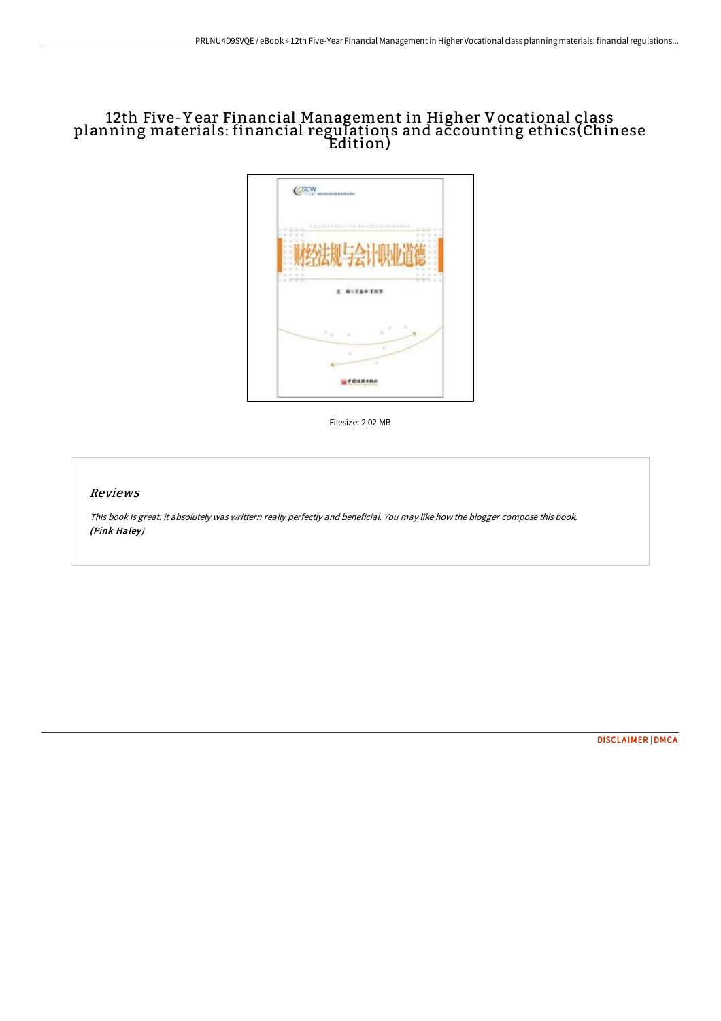## 12th Five-Y ear Financial Management in Higher Vocational class planning materials: financial regulations and accounting ethics(Chinese Edition)



Filesize: 2.02 MB

## Reviews

This book is great. it absolutely was writtern really perfectly and beneficial. You may like how the blogger compose this book. (Pink Haley)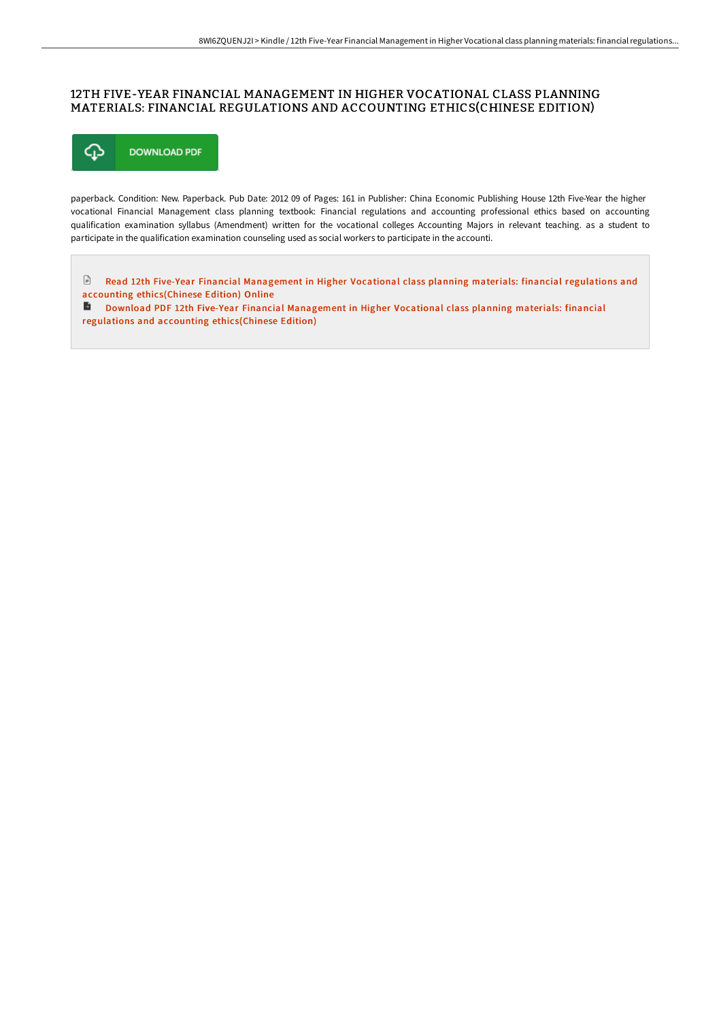## 12TH FIVE-YEAR FINANCIAL MANAGEMENT IN HIGHER VOCATIONAL CLASS PLANNING MATERIALS: FINANCIAL REGULATIONS AND ACCOUNTING ETHICS(CHINESE EDITION)



paperback. Condition: New. Paperback. Pub Date: 2012 09 of Pages: 161 in Publisher: China Economic Publishing House 12th Five-Year the higher vocational Financial Management class planning textbook: Financial regulations and accounting professional ethics based on accounting qualification examination syllabus (Amendment) written for the vocational colleges Accounting Majors in relevant teaching. as a student to participate in the qualification examination counseling used as social workers to participate in the accounti.